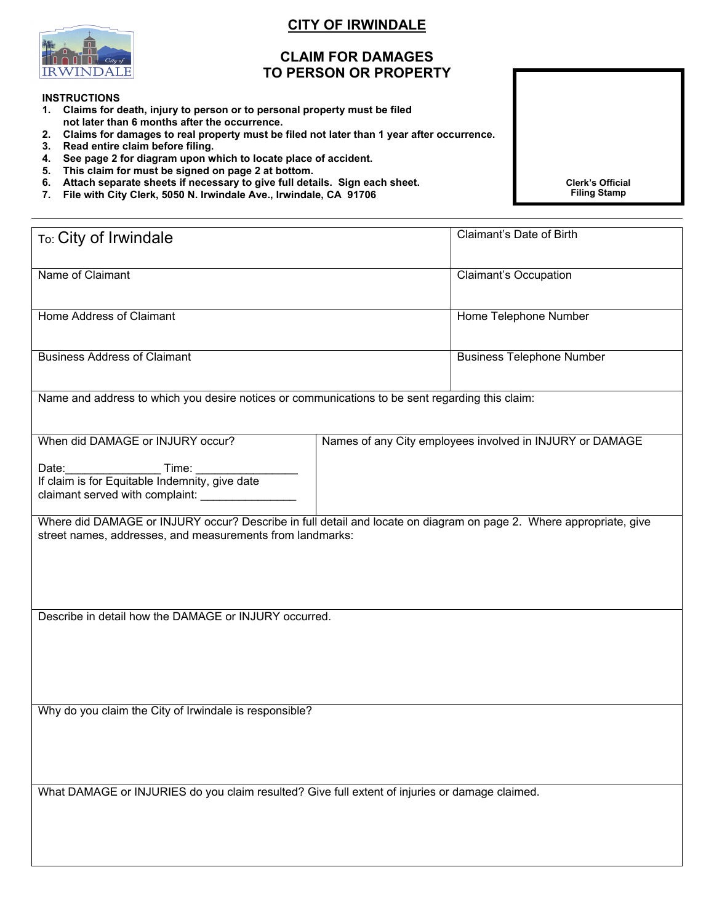## **CITY OF IRWINDALE**

## **CLAIM FOR DAMAGES TO PERSON OR PROPERTY**

## **INSTRUCTIONS**

- **1. Claims for death, injury to person or to personal property must be filed not later than 6 months after the occurrence.**
- **2. Claims for damages to real property must be filed not later than 1 year after occurrence.**
- **3. Read entire claim before filing.**
- **4. See page 2 for diagram upon which to locate place of accident.**
- **5. This claim for must be signed on page 2 at bottom.**
- **6. Attach separate sheets if necessary to give full details. Sign each sheet.**
- **7. File with City Clerk, 5050 N. Irwindale Ave., Irwindale, CA 91706**

**Clerk's Official Filing Stamp**

| To: City of Irwindale                                                                           | Claimant's Date of Birth                                                                                           |
|-------------------------------------------------------------------------------------------------|--------------------------------------------------------------------------------------------------------------------|
| Name of Claimant                                                                                | <b>Claimant's Occupation</b>                                                                                       |
| Home Address of Claimant                                                                        | Home Telephone Number                                                                                              |
| <b>Business Address of Claimant</b>                                                             | <b>Business Telephone Number</b>                                                                                   |
| Name and address to which you desire notices or communications to be sent regarding this claim: |                                                                                                                    |
| When did DAMAGE or INJURY occur?<br>Date:<br>claimant served with complaint: ______________     | Names of any City employees involved in INJURY or DAMAGE                                                           |
| street names, addresses, and measurements from landmarks:                                       | Where did DAMAGE or INJURY occur? Describe in full detail and locate on diagram on page 2. Where appropriate, give |
| Describe in detail how the DAMAGE or INJURY occurred.                                           |                                                                                                                    |
| Why do you claim the City of Irwindale is responsible?                                          |                                                                                                                    |
| What DAMAGE or INJURIES do you claim resulted? Give full extent of injuries or damage claimed.  |                                                                                                                    |